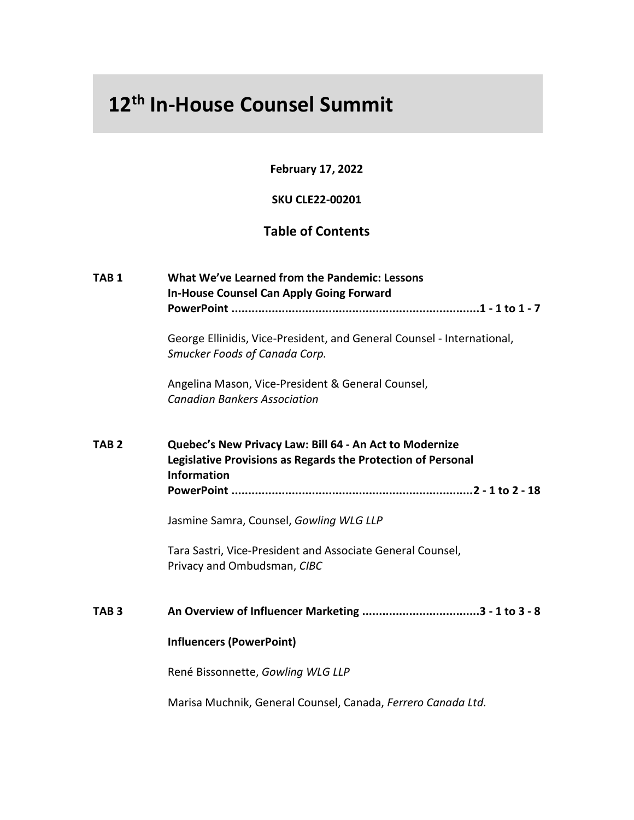## **12th In-House Counsel Summit**

**February 17, 2022**

## **SKU CLE22-00201**

## **Table of Contents**

| TAB <sub>1</sub> | What We've Learned from the Pandemic: Lessons<br><b>In-House Counsel Can Apply Going Forward</b>                                              |
|------------------|-----------------------------------------------------------------------------------------------------------------------------------------------|
|                  | George Ellinidis, Vice-President, and General Counsel - International,<br>Smucker Foods of Canada Corp.                                       |
|                  | Angelina Mason, Vice-President & General Counsel,<br><b>Canadian Bankers Association</b>                                                      |
| TAB <sub>2</sub> | Quebec's New Privacy Law: Bill 64 - An Act to Modernize<br>Legislative Provisions as Regards the Protection of Personal<br><b>Information</b> |
|                  | Jasmine Samra, Counsel, Gowling WLG LLP                                                                                                       |
|                  | Tara Sastri, Vice-President and Associate General Counsel,<br>Privacy and Ombudsman, CIBC                                                     |
| TAB <sub>3</sub> |                                                                                                                                               |
|                  | <b>Influencers (PowerPoint)</b>                                                                                                               |
|                  | René Bissonnette, Gowling WLG LLP                                                                                                             |
|                  | Marisa Muchnik, General Counsel, Canada, Ferrero Canada Ltd.                                                                                  |